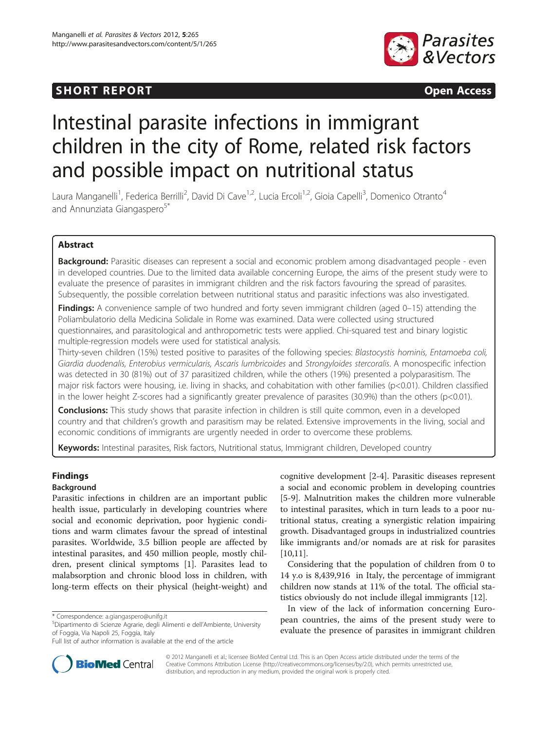## **SHORT REPORT SHORT CONSUMING THE OPEN ACCESS**



# Intestinal parasite infections in immigrant children in the city of Rome, related risk factors and possible impact on nutritional status

Laura Manganelli<sup>1</sup>, Federica Berrilli<sup>2</sup>, David Di Cave<sup>1,2</sup>, Lucia Ercoli<sup>1,2</sup>, Gioia Capelli<sup>3</sup>, Domenico Otranto<sup>4</sup> and Annunziata Giangaspero<sup>5\*</sup>

## Abstract

Background: Parasitic diseases can represent a social and economic problem among disadvantaged people - even in developed countries. Due to the limited data available concerning Europe, the aims of the present study were to evaluate the presence of parasites in immigrant children and the risk factors favouring the spread of parasites. Subsequently, the possible correlation between nutritional status and parasitic infections was also investigated.

Findings: A convenience sample of two hundred and forty seven immigrant children (aged 0–15) attending the Poliambulatorio della Medicina Solidale in Rome was examined. Data were collected using structured questionnaires, and parasitological and anthropometric tests were applied. Chi-squared test and binary logistic multiple-regression models were used for statistical analysis.

Thirty-seven children (15%) tested positive to parasites of the following species: Blastocystis hominis, Entamoeba coli, Giardia duodenalis, Enterobius vermicularis, Ascaris lumbricoides and Strongyloides stercoralis. A monospecific infection was detected in 30 (81%) out of 37 parasitized children, while the others (19%) presented a polyparasitism. The major risk factors were housing, i.e. living in shacks, and cohabitation with other families (p<0.01). Children classified in the lower height Z-scores had a significantly greater prevalence of parasites (30.9%) than the others (p<0.01).

**Conclusions:** This study shows that parasite infection in children is still quite common, even in a developed country and that children's growth and parasitism may be related. Extensive improvements in the living, social and economic conditions of immigrants are urgently needed in order to overcome these problems.

Keywords: Intestinal parasites, Risk factors, Nutritional status, Immigrant children, Developed country

## Findings

## Background

Parasitic infections in children are an important public health issue, particularly in developing countries where social and economic deprivation, poor hygienic conditions and warm climates favour the spread of intestinal parasites. Worldwide, 3.5 billion people are affected by intestinal parasites, and 450 million people, mostly children, present clinical symptoms [\[1](#page-3-0)]. Parasites lead to malabsorption and chronic blood loss in children, with long-term effects on their physical (height-weight) and

cognitive development [\[2](#page-3-0)-[4\]](#page-4-0). Parasitic diseases represent a social and economic problem in developing countries [[5-9](#page-4-0)]. Malnutrition makes the children more vulnerable to intestinal parasites, which in turn leads to a poor nutritional status, creating a synergistic relation impairing growth. Disadvantaged groups in industrialized countries like immigrants and/or nomads are at risk for parasites [[10,11\]](#page-4-0).

Considering that the population of children from 0 to 14 y.o is 8,439,916 in Italy, the percentage of immigrant children now stands at 11% of the total. The official statistics obviously do not include illegal immigrants [[12\]](#page-4-0).

In view of the lack of information concerning European countries, the aims of the present study were to evaluate the presence of parasites in immigrant children



© 2012 Manganelli et al.; licensee BioMed Central Ltd. This is an Open Access article distributed under the terms of the Creative Commons Attribution License (<http://creativecommons.org/licenses/by/2.0>), which permits unrestricted use, distribution, and reproduction in any medium, provided the original work is properly cited.

<sup>\*</sup> Correspondence: [a.giangaspero@unifg.it](mailto:a.giangaspero@unifg.it) <sup>5</sup>

Dipartimento di Scienze Agrarie, degli Alimenti e dell'Ambiente, University of Foggia, Via Napoli 25, Foggia, Italy

Full list of author information is available at the end of the article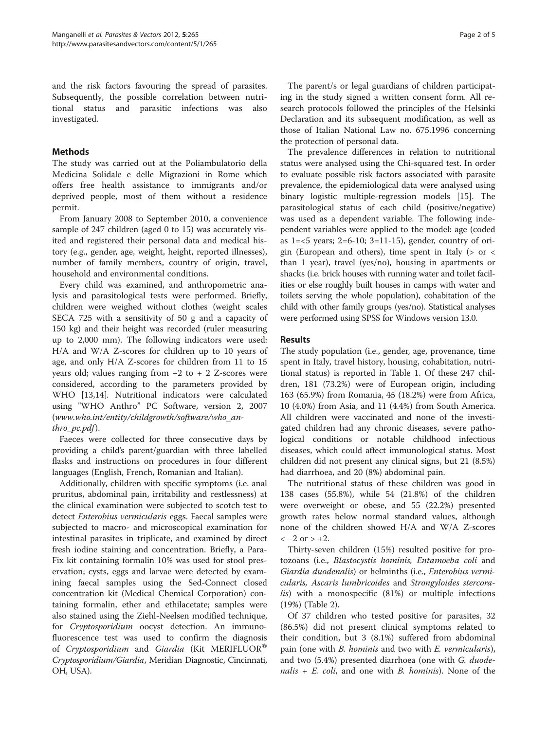and the risk factors favouring the spread of parasites. Subsequently, the possible correlation between nutritional status and parasitic infections was also investigated.

## Methods

The study was carried out at the Poliambulatorio della Medicina Solidale e delle Migrazioni in Rome which offers free health assistance to immigrants and/or deprived people, most of them without a residence permit.

From January 2008 to September 2010, a convenience sample of 247 children (aged 0 to 15) was accurately visited and registered their personal data and medical history (e.g., gender, age, weight, height, reported illnesses), number of family members, country of origin, travel, household and environmental conditions.

Every child was examined, and anthropometric analysis and parasitological tests were performed. Briefly, children were weighed without clothes (weight scales SECA 725 with a sensitivity of 50 g and a capacity of 150 kg) and their height was recorded (ruler measuring up to 2,000 mm). The following indicators were used: H/A and W/A Z-scores for children up to 10 years of age, and only H/A Z-scores for children from 11 to 15 years old; values ranging from −2 to + 2 Z-scores were considered, according to the parameters provided by WHO [[13,14](#page-4-0)]. Nutritional indicators were calculated using "WHO Anthro" PC Software, version 2, 2007 ([www.who.int/entity/childgrowth/software/who\\_an](http://www.who.int/entity/childgrowth/software/who_anthro_pc.pdf)thro pc.pdf).

Faeces were collected for three consecutive days by providing a child's parent/guardian with three labelled flasks and instructions on procedures in four different languages (English, French, Romanian and Italian).

Additionally, children with specific symptoms (i.e. anal pruritus, abdominal pain, irritability and restlessness) at the clinical examination were subjected to scotch test to detect Enterobius vermicularis eggs. Faecal samples were subjected to macro- and microscopical examination for intestinal parasites in triplicate, and examined by direct fresh iodine staining and concentration. Briefly, a Para-Fix kit containing formalin 10% was used for stool preservation; cysts, eggs and larvae were detected by examining faecal samples using the Sed-Connect closed concentration kit (Medical Chemical Corporation) containing formalin, ether and ethilacetate; samples were also stained using the Ziehl-Neelsen modified technique, for Cryptosporidium oocyst detection. An immunofluorescence test was used to confirm the diagnosis of Cryptosporidium and Giardia (Kit MERIFLUOR<sup>®</sup> Cryptosporidium/Giardia, Meridian Diagnostic, Cincinnati, OH, USA).

The parent/s or legal guardians of children participating in the study signed a written consent form. All research protocols followed the principles of the Helsinki Declaration and its subsequent modification, as well as those of Italian National Law no. 675.1996 concerning the protection of personal data.

The prevalence differences in relation to nutritional status were analysed using the Chi-squared test. In order to evaluate possible risk factors associated with parasite prevalence, the epidemiological data were analysed using binary logistic multiple-regression models [[15\]](#page-4-0). The parasitological status of each child (positive/negative) was used as a dependent variable. The following independent variables were applied to the model: age (coded as 1=<5 years; 2=6-10; 3=11-15), gender, country of origin (European and others), time spent in Italy ( $>$  or  $<$ than 1 year), travel (yes/no), housing in apartments or shacks (i.e. brick houses with running water and toilet facilities or else roughly built houses in camps with water and toilets serving the whole population), cohabitation of the child with other family groups (yes/no). Statistical analyses were performed using SPSS for Windows version 13.0.

## **Results**

The study population (i.e., gender, age, provenance, time spent in Italy, travel history, housing, cohabitation, nutritional status) is reported in Table [1](#page-2-0). Of these 247 children, 181 (73.2%) were of European origin, including 163 (65.9%) from Romania, 45 (18.2%) were from Africa, 10 (4.0%) from Asia, and 11 (4.4%) from South America. All children were vaccinated and none of the investigated children had any chronic diseases, severe pathological conditions or notable childhood infectious diseases, which could affect immunological status. Most children did not present any clinical signs, but 21 (8.5%) had diarrhoea, and 20 (8%) abdominal pain.

The nutritional status of these children was good in 138 cases (55.8%), while 54 (21.8%) of the children were overweight or obese, and 55 (22.2%) presented growth rates below normal standard values, although none of the children showed H/A and W/A Z-scores  $<-2$  or  $> +2$ .

Thirty-seven children (15%) resulted positive for protozoans (i.e., Blastocystis hominis, Entamoeba coli and Giardia duodenalis) or helminths (i.e., Enterobius vermicularis, Ascaris lumbricoides and Strongyloides stercoralis) with a monospecific (81%) or multiple infections (19%) (Table [2\)](#page-2-0).

Of 37 children who tested positive for parasites, 32 (86.5%) did not present clinical symptoms related to their condition, but 3 (8.1%) suffered from abdominal pain (one with *B. hominis* and two with *E. vermicularis*), and two  $(5.4%)$  presented diarrhoea (one with *G. duode*nalis  $+ E$ . coli, and one with B. hominis). None of the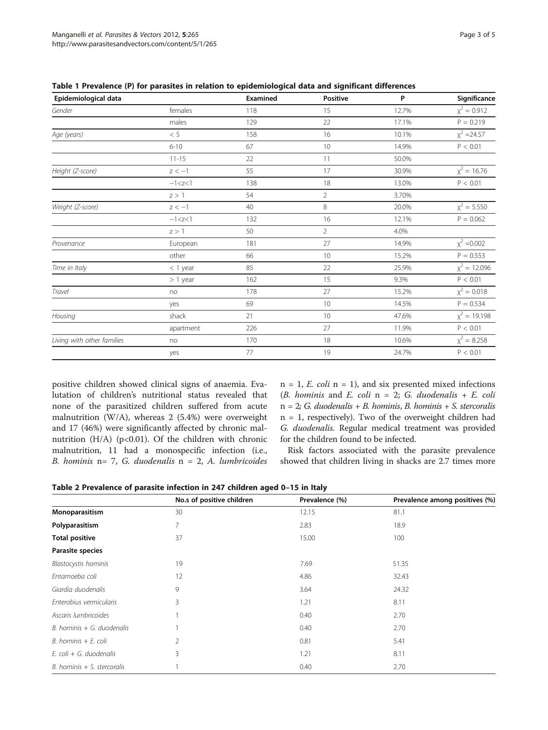| Epidemiological data       |              | Examined | <b>Positive</b> | P     | Significance   |
|----------------------------|--------------|----------|-----------------|-------|----------------|
| Gender                     | females      | 118      | 15              | 12.7% | $x^2 = 0.912$  |
|                            | males        | 129      | 22              | 17.1% | $P = 0.219$    |
| Age (years)                | < 5          | 158      | 16              | 10.1% | $x^2 = 24.57$  |
|                            | $6 - 10$     | 67       | 10              | 14.9% | P < 0.01       |
|                            | $11 - 15$    | 22       | 11              | 50.0% |                |
| Height (Z-score)           | $z < -1$     | 55       | 17              | 30.9% | $x^2 = 16.76$  |
|                            | $-1 < z < 1$ | 138      | 18              | 13.0% | P < 0.01       |
|                            | z > 1        | 54       | $\overline{2}$  | 3.70% |                |
| Weight (Z-score)           | $z < -1$     | 40       | $\,8\,$         | 20.0% | $x^2 = 5.550$  |
|                            | $-1 < z < 1$ | 132      | 16              | 12.1% | $P = 0.062$    |
|                            | z > 1        | 50       | $\overline{2}$  | 4.0%  |                |
| Provenance                 | European     | 181      | 27              | 14.9% | $x^2 = 0.002$  |
|                            | other        | 66       | 10              | 15.2% | $P = 0.553$    |
| Time in Italy              | $<$ 1 year   | 85       | 22              | 25.9% | $x^2 = 12.096$ |
|                            | $> 1$ year   | 162      | 15              | 9.3%  | P < 0.01       |
| Travel                     | no           | 178      | 27              | 15.2% | $x^2 = 0.018$  |
|                            | yes          | 69       | 10              | 14.5% | $P = 0.534$    |
| Housing                    | shack        | 21       | 10              | 47.6% | $x^2 = 19.198$ |
|                            | apartment    | 226      | 27              | 11.9% | P < 0.01       |
| Living with other families | no           | 170      | 18              | 10.6% | $x^2 = 8.258$  |
|                            | yes          | 77       | 19              | 24.7% | P < 0.01       |

<span id="page-2-0"></span>Table 1 Prevalence (P) for parasites in relation to epidemiological data and significant differences

positive children showed clinical signs of anaemia. Evalutation of children's nutritional status revealed that none of the parasitized children suffered from acute malnutrition (W/A), whereas 2 (5.4%) were overweight and 17 (46%) were significantly affected by chronic malnutrition (H/A) (p<0.01). Of the children with chronic malnutrition, 11 had a monospecific infection (i.e., B. hominis  $n= 7$ , G. duodenalis  $n = 2$ , A. lumbricoides

 $n = 1$ , *E. coli*  $n = 1$ , and six presented mixed infections (B. hominis and E. coli  $n = 2$ ; G. duodenalis + E. coli  $n=2$ ; G. duodenalis + B. hominis, B. hominis + S. stercoralis n = 1, respectively). Two of the overweight children had G. duodenalis. Regular medical treatment was provided for the children found to be infected.

Risk factors associated with the parasite prevalence showed that children living in shacks are 2.7 times more

Table 2 Prevalence of parasite infection in 247 children aged 0–15 in Italy

|                                | No.s of positive children | Prevalence (%) | Prevalence among positives (%) |
|--------------------------------|---------------------------|----------------|--------------------------------|
| Monoparasitism                 | 30                        | 12.15          | 81.1                           |
| Polyparasitism                 |                           | 2.83           | 18.9                           |
| <b>Total positive</b>          | 37                        | 15.00          | 100                            |
| Parasite species               |                           |                |                                |
| <b>Blastocystis hominis</b>    | 19                        | 7.69           | 51.35                          |
| Entamoeba coli                 | 12                        | 4.86           | 32.43                          |
| Giardia duodenalis             | 9                         | 3.64           | 24.32                          |
| Enterobius vermicularis        | 3                         | 1.21           | 8.11                           |
| Ascaris lumbricoides           |                           | 0.40           | 2.70                           |
| $B.$ hominis $+$ G. duodenalis |                           | 0.40           | 2.70                           |
| $B.$ hominis $+ E.$ coli       | 2                         | 0.81           | 5.41                           |
| E. coli + G. duodenalis        | 3                         | 1.21           | 8.11                           |
| B. hominis $+$ S. stercoralis  |                           | 0.40           | 2.70                           |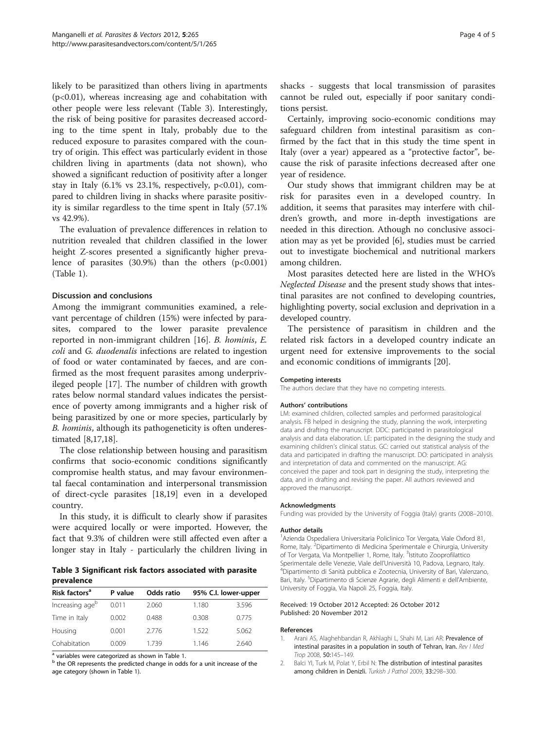<span id="page-3-0"></span>likely to be parasitized than others living in apartments (p<0.01), whereas increasing age and cohabitation with other people were less relevant (Table 3). Interestingly, the risk of being positive for parasites decreased according to the time spent in Italy, probably due to the reduced exposure to parasites compared with the country of origin. This effect was particularly evident in those children living in apartments (data not shown), who showed a significant reduction of positivity after a longer stay in Italy  $(6.1\% \text{ vs } 23.1\%, \text{ respectively, } p<0.01)$ , compared to children living in shacks where parasite positivity is similar regardless to the time spent in Italy (57.1% vs 42.9%).

The evaluation of prevalence differences in relation to nutrition revealed that children classified in the lower height Z-scores presented a significantly higher prevalence of parasites  $(30.9%)$  than the others  $(p<0.001)$ (Table [1\)](#page-2-0).

### Discussion and conclusions

Among the immigrant communities examined, a relevant percentage of children (15%) were infected by parasites, compared to the lower parasite prevalence reported in non-immigrant children [[16\]](#page-4-0). B. hominis, E. coli and G. duodenalis infections are related to ingestion of food or water contaminated by faeces, and are confirmed as the most frequent parasites among underprivileged people [[17\]](#page-4-0). The number of children with growth rates below normal standard values indicates the persistence of poverty among immigrants and a higher risk of being parasitized by one or more species, particularly by B. hominis, although its pathogeneticity is often underestimated [[8,17,18\]](#page-4-0).

The close relationship between housing and parasitism confirms that socio-economic conditions significantly compromise health status, and may favour environmental faecal contamination and interpersonal transmission of direct-cycle parasites [[18,19\]](#page-4-0) even in a developed country.

In this study, it is difficult to clearly show if parasites were acquired locally or were imported. However, the fact that 9.3% of children were still affected even after a longer stay in Italy - particularly the children living in

|            | Table 3 Significant risk factors associated with parasite |  |  |  |
|------------|-----------------------------------------------------------|--|--|--|
| prevalence |                                                           |  |  |  |

| Risk factors <sup>a</sup> | P value | Odds ratio | 95% C.I. lower-upper |       |
|---------------------------|---------|------------|----------------------|-------|
| Increasing ageb           | 0.011   | 2.060      | 1.180                | 3.596 |
| Time in Italy             | 0.002   | 0.488      | 0.308                | 0.775 |
| Housing                   | 0.001   | 2776       | 1.522                | 5.062 |
| Cohabitation              | 0.009   | 1 7 3 9    | 1.146                | 2640  |

<sup>a</sup> variables were categorized as shown in Table [1.](#page-2-0)<br><sup>b</sup> the OR represents the predicted change in odds for a unit increase of the age category (shown in Table [1\)](#page-2-0).

shacks - suggests that local transmission of parasites cannot be ruled out, especially if poor sanitary conditions persist.

Certainly, improving socio-economic conditions may safeguard children from intestinal parasitism as confirmed by the fact that in this study the time spent in Italy (over a year) appeared as a "protective factor", because the risk of parasite infections decreased after one year of residence.

Our study shows that immigrant children may be at risk for parasites even in a developed country. In addition, it seems that parasites may interfere with children's growth, and more in-depth investigations are needed in this direction. Athough no conclusive association may as yet be provided [[6](#page-4-0)], studies must be carried out to investigate biochemical and nutritional markers among children.

Most parasites detected here are listed in the WHO's Neglected Disease and the present study shows that intestinal parasites are not confined to developing countries, highlighting poverty, social exclusion and deprivation in a developed country.

The persistence of parasitism in children and the related risk factors in a developed country indicate an urgent need for extensive improvements to the social and economic conditions of immigrants [[20\]](#page-4-0).

#### Competing interests

The authors declare that they have no competing interests.

#### Authors' contributions

LM: examined children, collected samples and performed parasitological analysis. FB helped in designing the study, planning the work, interpreting data and drafting the manuscript. DDC: participated in parasitological analysis and data elaboration. LE: participated in the designing the study and examining children's clinical status. GC: carried out statistical analysis of the data and participated in drafting the manuscript. DO: participated in analysis and interpretation of data and commented on the manuscript. AG: conceived the paper and took part in designing the study, interpreting the data, and in drafting and revising the paper. All authors reviewed and approved the manuscript.

#### Acknowledgments

Funding was provided by the University of Foggia (Italy) grants (2008–2010).

#### Author details

1 Azienda Ospedaliera Universitaria Policlinico Tor Vergata, Viale Oxford 81, Rome, Italy. <sup>2</sup> Dipartimento di Medicina Sperimentale e Chirurgia, University of Tor Vergata, Via Montpellier 1, Rome, Italy. <sup>3</sup>Istituto Zooprofilattico Sperimentale delle Venezie, Viale dell'Università 10, Padova, Legnaro, Italy. Dipartimento di Sanità pubblica e Zootecnia, University of Bari, Valenzano, Bari, Italy. <sup>5</sup>Dipartimento di Scienze Agrarie, degli Alimenti e dell'Ambiente University of Foggia, Via Napoli 25, Foggia, Italy.

#### Received: 19 October 2012 Accepted: 26 October 2012 Published: 20 November 2012

#### References

- 1. Arani AS, Alaghehbandan R, Akhlaghi L, Shahi M, Lari AR: Prevalence of intestinal parasites in a population in south of Tehran, Iran. Rev I Med Trop 2008, 50:145–149.
- 2. Balci YI, Turk M, Polat Y, Erbil N: The distribution of intestinal parasites among children in Denizli. Turkish J Pathol 2009, 33:298-300.